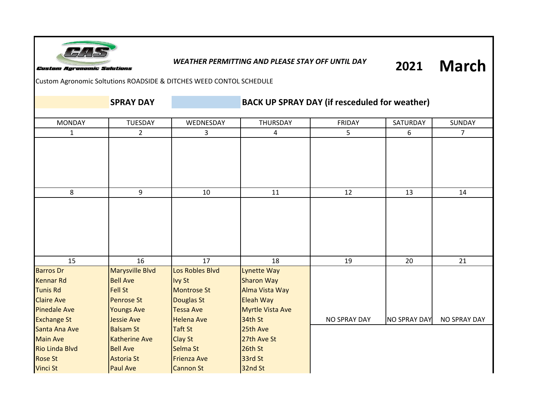

## *WEATHER PERMITTING AND PLEASE STAY OFF UNTIL DAY*

**March 2021**

Custom Agronomic Soltutions ROADSIDE & DITCHES WEED CONTOL SCHEDULE

**SPRAY DAY BACK UP SPRAY DAY (if resceduled for weather)** 

| <b>MONDAY</b>         | <b>TUESDAY</b>       | WEDNESDAY          | THURSDAY                | <b>FRIDAY</b>       | SATURDAY            | SUNDAY              |
|-----------------------|----------------------|--------------------|-------------------------|---------------------|---------------------|---------------------|
| $\mathbf{1}$          | $2^{\circ}$          | 3 <sup>1</sup>     | $\overline{4}$          | 5                   | 6                   | 7 <sup>7</sup>      |
|                       |                      |                    |                         |                     |                     |                     |
|                       |                      |                    |                         |                     |                     |                     |
|                       |                      |                    |                         |                     |                     |                     |
|                       |                      |                    |                         |                     |                     |                     |
|                       |                      |                    |                         |                     |                     |                     |
| 8                     | 9                    | 10                 | 11                      | 12                  | 13                  | 14                  |
|                       |                      |                    |                         |                     |                     |                     |
|                       |                      |                    |                         |                     |                     |                     |
|                       |                      |                    |                         |                     |                     |                     |
|                       |                      |                    |                         |                     |                     |                     |
|                       |                      |                    |                         |                     |                     |                     |
|                       |                      |                    |                         |                     |                     |                     |
| 15                    | 16                   | 17                 | 18                      | 19                  | 20                  | 21                  |
| <b>Barros Dr</b>      | Marysville Blvd      | Los Robles Blvd    | Lynette Way             |                     |                     |                     |
| <b>Kennar Rd</b>      | <b>Bell Ave</b>      | <b>Ivy St</b>      | <b>Sharon Way</b>       |                     |                     |                     |
| <b>Tunis Rd</b>       | <b>Fell St</b>       | <b>Montrose St</b> | Alma Vista Way          |                     |                     |                     |
| <b>Claire Ave</b>     | <b>Penrose St</b>    | Douglas St         | Eleah Way               |                     |                     |                     |
| <b>Pinedale Ave</b>   | <b>Youngs Ave</b>    | <b>Tessa Ave</b>   | <b>Myrtle Vista Ave</b> |                     |                     |                     |
| <b>Exchange St</b>    | <b>Jessie Ave</b>    | <b>Helena Ave</b>  | 34th St                 | <b>NO SPRAY DAY</b> | <b>NO SPRAY DAY</b> | <b>NO SPRAY DAY</b> |
| Santa Ana Ave         | <b>Balsam St</b>     | <b>Taft St</b>     | 25th Ave                |                     |                     |                     |
| <b>Main Ave</b>       | <b>Katherine Ave</b> | <b>Clay St</b>     | 27th Ave St             |                     |                     |                     |
| <b>Rio Linda Blvd</b> | <b>Bell Ave</b>      | Selma St           | 26th St                 |                     |                     |                     |
| <b>Rose St</b>        | <b>Astoria St</b>    | <b>Frienza Ave</b> | 33rd St                 |                     |                     |                     |
| Vinci St              | <b>Paul Ave</b>      | Cannon St          | 32nd St                 |                     |                     |                     |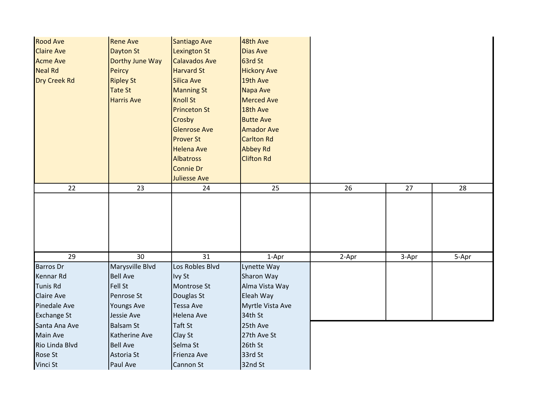| <b>Rood Ave</b><br><b>Claire Ave</b><br><b>Acme Ave</b><br><b>Neal Rd</b><br><b>Dry Creek Rd</b> | <b>Rene Ave</b><br>Dayton St<br>Dorthy June Way<br><b>Peircy</b><br><b>Ripley St</b><br><b>Tate St</b><br><b>Harris Ave</b> | <b>Santiago Ave</b><br><b>Lexington St</b><br><b>Calavados Ave</b><br><b>Harvard St</b><br><b>Silica Ave</b><br><b>Manning St</b><br><b>Knoll St</b><br><b>Princeton St</b><br>Crosby<br><b>Glenrose Ave</b><br><b>Prover St</b><br><b>Helena Ave</b><br><b>Albatross</b><br><b>Connie Dr</b> | 48th Ave<br><b>Dias Ave</b><br>63rd St<br><b>Hickory Ave</b><br>19th Ave<br>Napa Ave<br><b>Merced Ave</b><br>18th Ave<br><b>Butte Ave</b><br><b>Amador Ave</b><br><b>Carlton Rd</b><br><b>Abbey Rd</b><br><b>Clifton Rd</b> |       |       |       |
|--------------------------------------------------------------------------------------------------|-----------------------------------------------------------------------------------------------------------------------------|-----------------------------------------------------------------------------------------------------------------------------------------------------------------------------------------------------------------------------------------------------------------------------------------------|-----------------------------------------------------------------------------------------------------------------------------------------------------------------------------------------------------------------------------|-------|-------|-------|
| 22                                                                                               | 23                                                                                                                          | <b>Juliesse Ave</b><br>24                                                                                                                                                                                                                                                                     | 25                                                                                                                                                                                                                          | 26    | 27    | 28    |
|                                                                                                  |                                                                                                                             |                                                                                                                                                                                                                                                                                               |                                                                                                                                                                                                                             |       |       |       |
| $\overline{29}$                                                                                  | 30                                                                                                                          | $\overline{31}$                                                                                                                                                                                                                                                                               | 1-Apr                                                                                                                                                                                                                       | 2-Apr | 3-Apr | 5-Apr |
| <b>Barros Dr</b>                                                                                 | Marysville Blvd                                                                                                             | Los Robles Blvd                                                                                                                                                                                                                                                                               | Lynette Way                                                                                                                                                                                                                 |       |       |       |
| <b>Kennar Rd</b>                                                                                 | <b>Bell Ave</b>                                                                                                             | Ivy St                                                                                                                                                                                                                                                                                        | Sharon Way                                                                                                                                                                                                                  |       |       |       |
| <b>Tunis Rd</b>                                                                                  | Fell St                                                                                                                     | Montrose St                                                                                                                                                                                                                                                                                   | Alma Vista Way                                                                                                                                                                                                              |       |       |       |
| <b>Claire Ave</b>                                                                                | Penrose St                                                                                                                  | Douglas St                                                                                                                                                                                                                                                                                    | Eleah Way                                                                                                                                                                                                                   |       |       |       |
| Pinedale Ave                                                                                     | <b>Youngs Ave</b>                                                                                                           | <b>Tessa Ave</b>                                                                                                                                                                                                                                                                              | Myrtle Vista Ave                                                                                                                                                                                                            |       |       |       |
| <b>Exchange St</b>                                                                               | Jessie Ave                                                                                                                  | Helena Ave                                                                                                                                                                                                                                                                                    | 34th St                                                                                                                                                                                                                     |       |       |       |
| Santa Ana Ave                                                                                    | <b>Balsam St</b>                                                                                                            | Taft St                                                                                                                                                                                                                                                                                       | 25th Ave                                                                                                                                                                                                                    |       |       |       |
| Main Ave                                                                                         | Katherine Ave                                                                                                               | Clay St                                                                                                                                                                                                                                                                                       | 27th Ave St                                                                                                                                                                                                                 |       |       |       |
| Rio Linda Blvd                                                                                   | <b>Bell Ave</b>                                                                                                             | Selma St                                                                                                                                                                                                                                                                                      | 26th St                                                                                                                                                                                                                     |       |       |       |
| Rose St                                                                                          | Astoria St                                                                                                                  | Frienza Ave                                                                                                                                                                                                                                                                                   | 33rd St                                                                                                                                                                                                                     |       |       |       |
| Vinci St                                                                                         | Paul Ave                                                                                                                    | Cannon St                                                                                                                                                                                                                                                                                     | 32nd St                                                                                                                                                                                                                     |       |       |       |